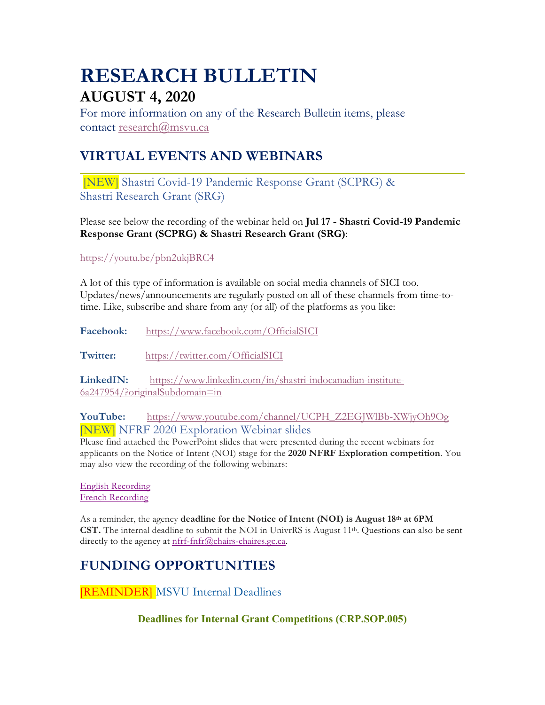# **RESEARCH BULLETIN AUGUST 4, 2020**

For more information on any of the Research Bulletin items, please contact research@msvu.ca

# **VIRTUAL EVENTS AND WEBINARS**

[NEW] Shastri Covid-19 Pandemic Response Grant (SCPRG) & Shastri Research Grant (SRG)

Please see below the recording of the webinar held on **Jul 17 - Shastri Covid-19 Pandemic Response Grant (SCPRG) & Shastri Research Grant (SRG)**:

https://youtu.be/pbn2ukjBRC4

A lot of this type of information is available on social media channels of SICI too. Updates/news/announcements are regularly posted on all of these channels from time-totime. Like, subscribe and share from any (or all) of the platforms as you like:

**Facebook:** https://www.facebook.com/OfficialSICI

Twitter: https://twitter.com/OfficialSICI

**LinkedIN:** https://www.linkedin.com/in/shastri-indocanadian-institute-6a247954/?originalSubdomain=in

**YouTube:** https://www.youtube.com/channel/UCPH\_Z2EGJWlBb-XWjyOh9Og [NEW] NFRF 2020 Exploration Webinar slides

Please find attached the PowerPoint slides that were presented during the recent webinars for applicants on the Notice of Intent (NOI) stage for the **2020 NFRF Exploration competition**. You may also view the recording of the following webinars:

English Recording French Recording

As a reminder, the agency **deadline for the Notice of Intent (NOI) is August 18th at 6PM CST.** The internal deadline to submit the NOI in UnivrRS is August 11<sup>th</sup>. Questions can also be sent directly to the agency at nfrf-fnfr@chairs-chaires.gc.ca.

# **FUNDING OPPORTUNITIES**

[REMINDER] MSVU Internal Deadlines

**Deadlines for Internal Grant Competitions (CRP.SOP.005)**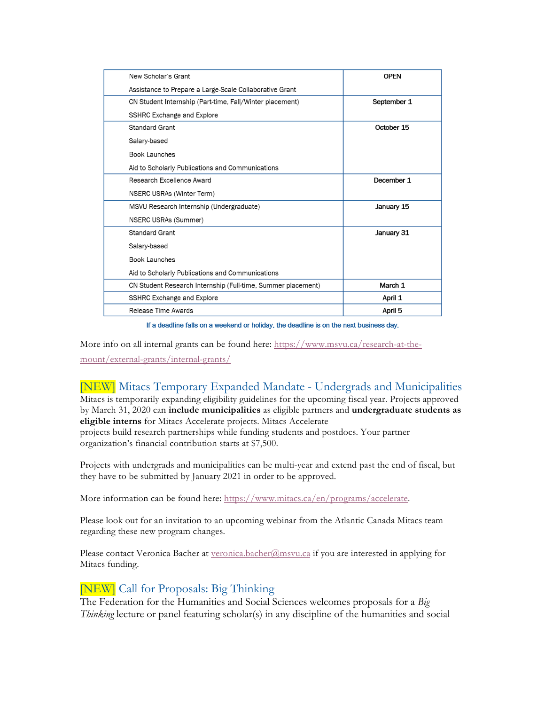| New Scholar's Grant                                          | <b>OPEN</b> |
|--------------------------------------------------------------|-------------|
| Assistance to Prepare a Large-Scale Collaborative Grant      |             |
| CN Student Internship (Part-time, Fall/Winter placement)     | September 1 |
| SSHRC Exchange and Explore                                   |             |
| <b>Standard Grant</b>                                        | October 15  |
| Salary-based                                                 |             |
| <b>Book Launches</b>                                         |             |
| Aid to Scholarly Publications and Communications             |             |
| Research Excellence Award                                    | December 1  |
| NSERC USRAs (Winter Term)                                    |             |
| MSVU Research Internship (Undergraduate)                     | January 15  |
| NSERC USRAs (Summer)                                         |             |
| <b>Standard Grant</b>                                        | January 31  |
| Salary-based                                                 |             |
| <b>Book Launches</b>                                         |             |
| Aid to Scholarly Publications and Communications             |             |
| CN Student Research Internship (Full-time, Summer placement) | March 1     |
| <b>SSHRC Exchange and Explore</b>                            | April 1     |
| Release Time Awards                                          | April 5     |

If a deadline falls on a weekend or holiday, the deadline is on the next business day.

More info on all internal grants can be found here: https://www.msvu.ca/research-at-themount/external-grants/internal-grants/

# [NEW] Mitacs Temporary Expanded Mandate - Undergrads and Municipalities

Mitacs is temporarily expanding eligibility guidelines for the upcoming fiscal year. Projects approved by March 31, 2020 can **include municipalities** as eligible partners and **undergraduate students as eligible interns** for Mitacs Accelerate projects. Mitacs Accelerate

projects build research partnerships while funding students and postdocs. Your partner organization's financial contribution starts at \$7,500.

Projects with undergrads and municipalities can be multi-year and extend past the end of fiscal, but they have to be submitted by January 2021 in order to be approved.

More information can be found here: https://www.mitacs.ca/en/programs/accelerate.

Please look out for an invitation to an upcoming webinar from the Atlantic Canada Mitacs team regarding these new program changes.

Please contact Veronica Bacher at veronica.bacher@msvu.ca if you are interested in applying for Mitacs funding.

# [NEW] Call for Proposals: Big Thinking

The Federation for the Humanities and Social Sciences welcomes proposals for a *Big Thinking* lecture or panel featuring scholar(s) in any discipline of the humanities and social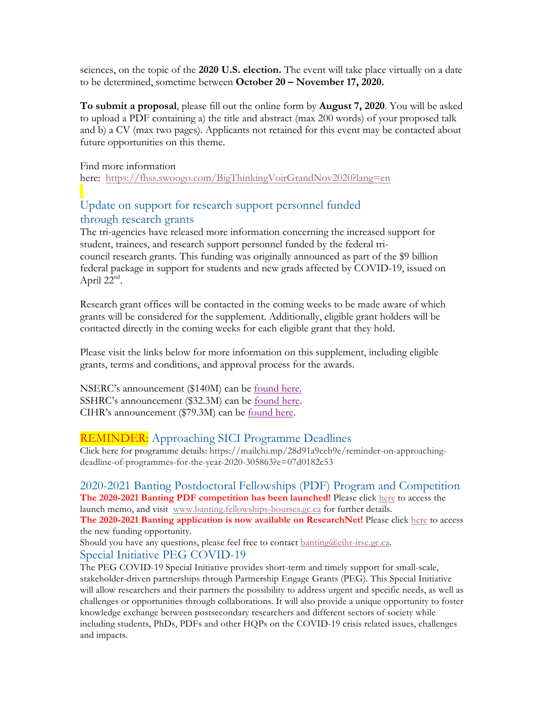sciences, on the topic of the **2020 U.S. election.** The event will take place virtually on a date to be determined, sometime between **October 20 – November 17, 2020.**

**To submit a proposal**, please fill out the online form by **August 7, 2020**. You will be asked to upload a PDF containing a) the title and abstract (max 200 words) of your proposed talk and b) a CV (max two pages). Applicants not retained for this event may be contacted about future opportunities on this theme.

Find more information

here: https://fhss.swoogo.com/BigThinkingVoirGrandNov2020?lang=en

# Update on support for research support personnel funded through research grants

The tri-agencies have released more information concerning the increased support for student, trainees, and research support personnel funded by the federal tricouncil research grants. This funding was originally announced as part of the \$9 billion federal package in support for students and new grads affected by COVID-19, issued on April  $22<sup>nd</sup>$ .

Research grant offices will be contacted in the coming weeks to be made aware of which grants will be considered for the supplement. Additionally, eligible grant holders will be contacted directly in the coming weeks for each eligible grant that they hold.

Please visit the links below for more information on this supplement, including eligible grants, terms and conditions, and approval process for the awards.

NSERC's announcement (\$140M) can be found here. SSHRC's announcement (\$32.3M) can be <u>found here</u>. CIHR's announcement (\$79.3M) can be found here.

# REMINDER: Approaching SICI Programme Deadlines

Click here for programme details: https://mailchi.mp/28d91a9ceb9e/reminder-on-approachingdeadline-of-programmes-for-the-year-2020-305863?e=07d0182c53

2020-2021 Banting Postdoctoral Fellowships (PDF) Program and Competition **The 2020-2021 Banting PDF competition has been launched!** Please click here to access the launch memo, and visit www.banting.fellowships-bourses.gc.ca for further details.

**The 2020-2021 Banting application is now available on ResearchNet!** Please click here to access the new funding opportunity.

Should you have any questions, please feel free to contact banting@cihr-irsc.gc.ca. Special Initiative PEG COVID-19

The PEG COVID-19 Special Initiative provides short-term and timely support for small-scale, stakeholder-driven partnerships through Partnership Engage Grants (PEG). This Special Initiative will allow researchers and their partners the possibility to address urgent and specific needs, as well as challenges or opportunities through collaborations. It will also provide a unique opportunity to foster knowledge exchange between postsecondary researchers and different sectors of society while including students, PhDs, PDFs and other HQPs on the COVID-19 crisis related issues, challenges and impacts.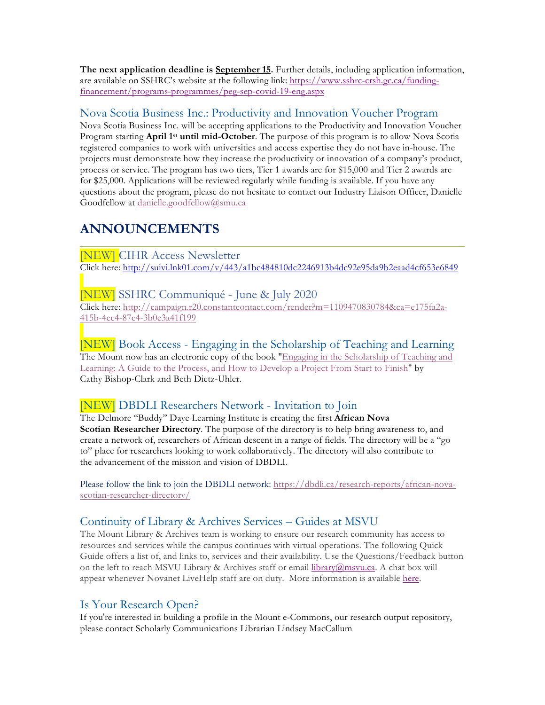**The next application deadline is September 15.** Further details, including application information, are available on SSHRC's website at the following link: https://www.sshrc-crsh.gc.ca/fundingfinancement/programs-programmes/peg-sep-covid-19-eng.aspx

#### Nova Scotia Business Inc.: Productivity and Innovation Voucher Program

Nova Scotia Business Inc. will be accepting applications to the Productivity and Innovation Voucher Program starting **April 1st until mid-October**. The purpose of this program is to allow Nova Scotia registered companies to work with universities and access expertise they do not have in-house. The projects must demonstrate how they increase the productivity or innovation of a company's product, process or service. The program has two tiers, Tier 1 awards are for \$15,000 and Tier 2 awards are for \$25,000. Applications will be reviewed regularly while funding is available. If you have any questions about the program, please do not hesitate to contact our Industry Liaison Officer, Danielle Goodfellow at danielle.goodfellow@smu.ca

# **ANNOUNCEMENTS**

[NEW] CIHR Access Newsletter Click here: http://suivi.lnk01.com/v/443/a1bc484810dc2246913b4dc92e95da9b2eaad4cf653e6849

#### [NEW] SSHRC Communiqué - June & July 2020

Click here: http://campaign.r20.constantcontact.com/render?m=1109470830784&ca=e175fa2a-415b-4ec4-87c4-3b0e3a41f199

[NEW] Book Access - Engaging in the Scholarship of Teaching and Learning The Mount now has an electronic copy of the book "Engaging in the Scholarship of Teaching and Learning: A Guide to the Process, and How to Develop a Project From Start to Finish" by Cathy Bishop-Clark and Beth Dietz-Uhler.

# [NEW] DBDLI Researchers Network - Invitation to Join

The Delmore "Buddy" Daye Learning Institute is creating the first **African Nova Scotian Researcher Directory**. The purpose of the directory is to help bring awareness to, and create a network of, researchers of African descent in a range of fields. The directory will be a "go to" place for researchers looking to work collaboratively. The directory will also contribute to the advancement of the mission and vision of DBDLI.

Please follow the link to join the DBDLI network: https://dbdli.ca/research-reports/african-novascotian-researcher-directory/

# Continuity of Library & Archives Services – Guides at MSVU

The Mount Library & Archives team is working to ensure our research community has access to resources and services while the campus continues with virtual operations. The following Quick Guide offers a list of, and links to, services and their availability. Use the Questions/Feedback button on the left to reach MSVU Library & Archives staff or email library@msvu.ca. A chat box will appear whenever Novanet LiveHelp staff are on duty. More information is available here.

# Is Your Research Open?

If you're interested in building a profile in the Mount e-Commons, our research output repository, please contact Scholarly Communications Librarian Lindsey MacCallum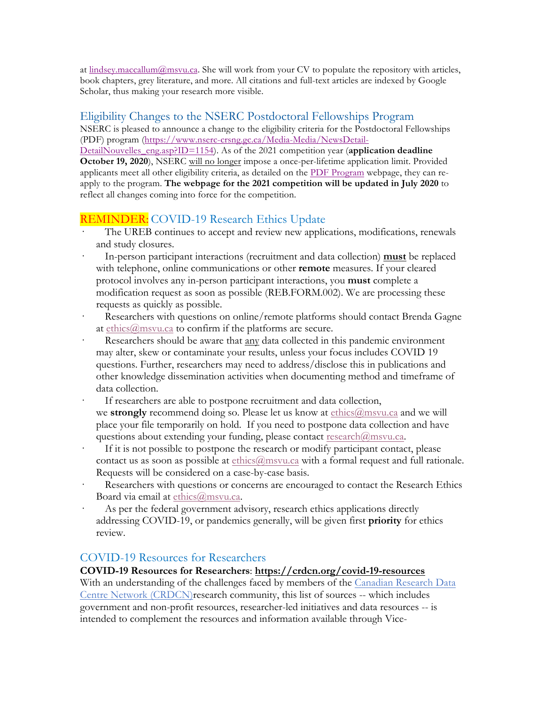at lindsey.maccallum $@m$ svu.ca. She will work from your CV to populate the repository with articles, book chapters, grey literature, and more. All citations and full-text articles are indexed by Google Scholar, thus making your research more visible.

#### Eligibility Changes to the NSERC Postdoctoral Fellowships Program

NSERC is pleased to announce a change to the eligibility criteria for the Postdoctoral Fellowships (PDF) program (https://www.nserc-crsng.gc.ca/Media-Media/NewsDetail-

DetailNouvelles\_eng.asp?ID=1154). As of the 2021 competition year (**application deadline October 19, 2020**), NSERC will no longer impose a once-per-lifetime application limit. Provided applicants meet all other eligibility criteria, as detailed on the PDF Program webpage, they can reapply to the program. **The webpage for the 2021 competition will be updated in July 2020** to reflect all changes coming into force for the competition.

# REMINDER: COVID-19 Research Ethics Update

- The UREB continues to accept and review new applications, modifications, renewals and study closures.
- · In-person participant interactions (recruitment and data collection) **must** be replaced with telephone, online communications or other **remote** measures. If your cleared protocol involves any in-person participant interactions, you **must** complete a modification request as soon as possible (REB.FORM.002). We are processing these requests as quickly as possible.
- Researchers with questions on online/remote platforms should contact Brenda Gagne at ethics@msvu.ca to confirm if the platforms are secure.
- Researchers should be aware that any data collected in this pandemic environment may alter, skew or contaminate your results, unless your focus includes COVID 19 questions. Further, researchers may need to address/disclose this in publications and other knowledge dissemination activities when documenting method and timeframe of data collection.

If researchers are able to postpone recruitment and data collection, we **strongly** recommend doing so. Please let us know at ethics@msvu.ca and we will place your file temporarily on hold. If you need to postpone data collection and have questions about extending your funding, please contact research@msvu.ca.

- If it is not possible to postpone the research or modify participant contact, please contact us as soon as possible at  $\underline{\text{ethics}}(\overline{a}$ msvu.ca with a formal request and full rationale. Requests will be considered on a case-by-case basis.
- Researchers with questions or concerns are encouraged to contact the Research Ethics Board via email at ethics@msvu.ca.
- As per the federal government advisory, research ethics applications directly addressing COVID-19, or pandemics generally, will be given first **priority** for ethics review.

#### COVID-19 Resources for Researchers

#### **COVID-19 Resources for Researchers**: **https://crdcn.org/covid-19-resources**

With an understanding of the challenges faced by members of the Canadian Research Data Centre Network (CRDCN)research community, this list of sources -- which includes government and non-profit resources, researcher-led initiatives and data resources -- is intended to complement the resources and information available through Vice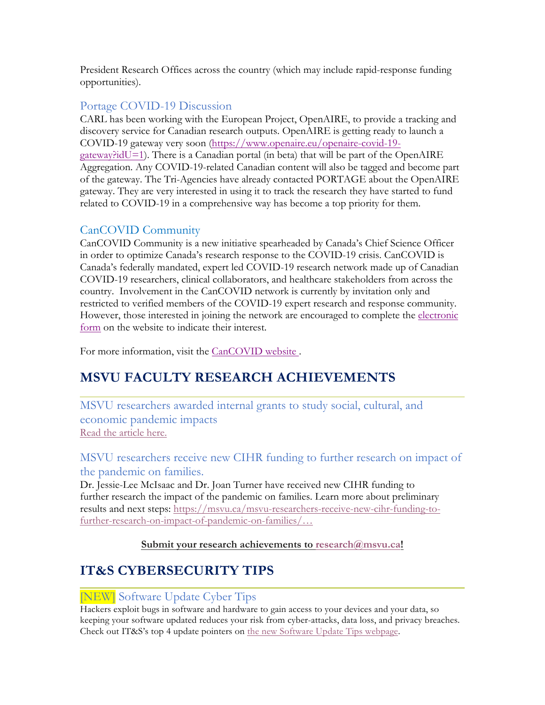President Research Offices across the country (which may include rapid-response funding opportunities).

### Portage COVID-19 Discussion

CARL has been working with the European Project, OpenAIRE, to provide a tracking and discovery service for Canadian research outputs. OpenAIRE is getting ready to launch a COVID-19 gateway very soon (https://www.openaire.eu/openaire-covid-19 gateway?idU=1). There is a Canadian portal (in beta) that will be part of the OpenAIRE Aggregation. Any COVID-19-related Canadian content will also be tagged and become part of the gateway. The Tri-Agencies have already contacted PORTAGE about the OpenAIRE gateway. They are very interested in using it to track the research they have started to fund related to COVID-19 in a comprehensive way has become a top priority for them.

# CanCOVID Community

CanCOVID Community is a new initiative spearheaded by Canada's Chief Science Officer in order to optimize Canada's research response to the COVID-19 crisis. CanCOVID is Canada's federally mandated, expert led COVID-19 research network made up of Canadian COVID-19 researchers, clinical collaborators, and healthcare stakeholders from across the country. Involvement in the CanCOVID network is currently by invitation only and restricted to verified members of the COVID-19 expert research and response community. However, those interested in joining the network are encouraged to complete the electronic form on the website to indicate their interest.

For more information, visit the CanCOVID website .

# **MSVU FACULTY RESEARCH ACHIEVEMENTS**

MSVU researchers awarded internal grants to study social, cultural, and economic pandemic impacts Read the article here.

# MSVU researchers receive new CIHR funding to further research on impact of the pandemic on families.

Dr. Jessie-Lee McIsaac and Dr. Joan Turner have received new CIHR funding to further research the impact of the pandemic on families. Learn more about preliminary results and next steps: https://msvu.ca/msvu-researchers-receive-new-cihr-funding-tofurther-research-on-impact-of-pandemic-on-families/…

#### **Submit your research achievements to research@msvu.ca!**

# **IT&S CYBERSECURITY TIPS**

# [NEW] Software Update Cyber Tips

Hackers exploit bugs in software and hardware to gain access to your devices and your data, so keeping your software updated reduces your risk from cyber-attacks, data loss, and privacy breaches. Check out IT&S's top 4 update pointers on the new Software Update Tips webpage.